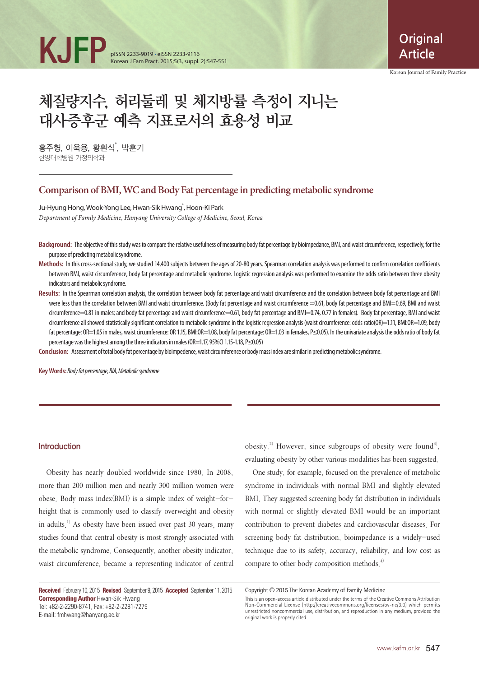

Korean Journal of Family Practice

# 체질량지수, 허리둘레 및 체지방률 측정이 지니는 대사증후군 예측 지표로서의 효용성 비교

홍주형, 이욱용, 황환식<sup>\*</sup>, 박훈기 한양대학병원 가정의학과

## **Comparison of BMI, WC and Body Fat percentage in predicting metabolic syndrome**

Ju-Hyung Hong, Wook-Yong Lee, Hwan-Sik Hwang<sup>\*</sup>, Hoon-Ki Park *Department of Family Medicine, Hanyang University College of Medicine, Seoul, Korea*

- **Background:** The objective of this study was to compare the relative usefulness of measuring body fat percentage by bioimpedance, BMI, and waist circumference, respectively, for the purpose of predicting metabolic syndrome.
- **Methods:** In this cross-sectional study, we studied 14,400 subjects between the ages of 20-80 years. Spearman correlation analysis was performed to confirm correlation coefficients between BMI, waist circumference, body fat percentage and metabolic syndrome. Logistic regression analysis was performed to examine the odds ratio between three obesity indicators and metabolic syndrome.
- **Results:** In the Spearman correlation analysis, the correlation between body fat percentage and waist circumference and the correlation between body fat percentage and BMI were less than the correlation between BMI and waist circumference. (Body fat percentage and waist circumference =0.61, body fat percentage and BMI=0.69, BMI and waist circumference=0.81 in males; and body fat percentage and waist circumference=0.61, body fat percentage and BMI=0.74, 0.77 in females). Body fat percentage, BMI and waist circumference all showed statistically significant correlation to metabolic syndrome in the logistic regression analysis (waist circumference: odds ratio(OR)=1.11, BMI:OR=1.09, body fat percentage: OR=1.05 in males, waist circumference: OR 1.15, BMI:OR=1.08, body fat percentage: OR=1.03 in females, P≤0.05). In the univariate analysis the odds ratio of body fat percentage was the highest among the three indicators in males (OR=1.17, 95%CI 1.15-1.18, P≤0.05)

**Conclusion:** Assessment of total body fat percentage by bioimpedence, waist circumference or body mass index are similar in predicting metabolic syndrome.

**Key Words:** *Body fat percentage, BIA, Metabolic syndrome* 

#### Introduction

Obesity has nearly doubled worldwide since 1980. In 2008, more than 200 million men and nearly 300 million women were obese. Body mass index(BMI) is a simple index of weight-forheight that is commonly used to classify overweight and obesity in adults.<sup>1)</sup> As obesity have been issued over past 30 years, many studies found that central obesity is most strongly associated with the metabolic syndrome. Consequently, another obesity indicator, waist circumference, became a representing indicator of central

**Received** February 10, 2015 **Revised** September 9, 2015 **Accepted** September 11, 2015 **Corresponding Author** Hwan-Sik Hwang Tel: +82-2-2290-8741, Fax: +82-2-2281-7279 E-mail: fmhwang@hanyang.ac.kr

obesity.<sup>2)</sup> However, since subgroups of obesity were found<sup>3)</sup>, evaluating obesity by other various modalities has been suggested.

One study, for example, focused on the prevalence of metabolic syndrome in individuals with normal BMI and slightly elevated BMI. They suggested screening body fat distribution in individuals with normal or slightly elevated BMI would be an important contribution to prevent diabetes and cardiovascular diseases. For screening body fat distribution, bioimpedance is a widely-used technique due to its safety, accuracy, reliability, and low cost as compare to other body composition methods. 4)

Copyright © 2015 The Korean Academy of Family Medicine

This is an open-access article distributed under the terms of the Creative Commons Attribution Non-Commercial License (http://creativecommons.org/licenses/by-nc/3.0) which permits unrestricted noncommercial use, distribution, and reproduction in any medium, provided the original work is properly cited.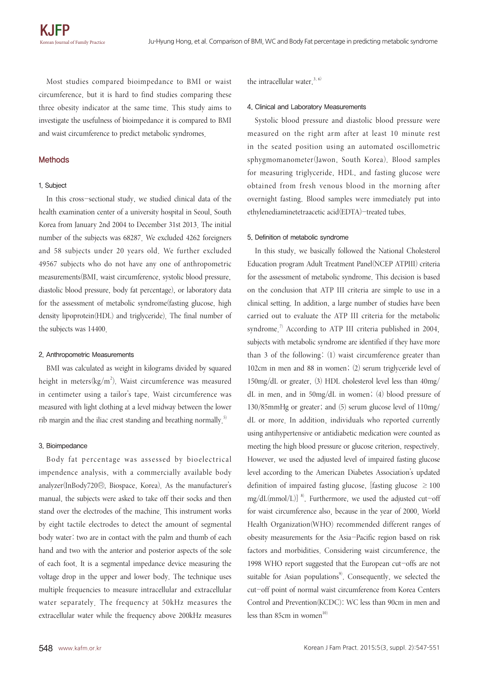Most studies compared bioimpedance to BMI or waist circumference, but it is hard to find studies comparing these three obesity indicator at the same time. This study aims to investigate the usefulness of bioimpedance it is compared to BMI and waist circumference to predict metabolic syndromes.

### Methods

#### 1. Subject

In this cross-sectional study, we studied clinical data of the health examination center of a university hospital in Seoul, South Korea from January 2nd 2004 to December 31st 2013. The initial number of the subjects was 68287. We excluded 4262 foreigners and 58 subjects under 20 years old. We further excluded 49567 subjects who do not have any one of anthropometric measurements(BMI, waist circumference, systolic blood pressure, diastolic blood pressure, body fat percentage), or laboratory data for the assessment of metabolic syndrome(fasting glucose, high density lipoprotein(HDL) and triglyceride). The final number of the subjects was 14400.

#### 2. Anthropometric Measurements

BMI was calculated as weight in kilograms divided by squared height in meters $(kg/m^2)$ . Waist circumference was measured in centimeter using a tailor's tape. Waist circumference was measured with light clothing at a level midway between the lower rib margin and the iliac crest standing and breathing normally.<sup>5)</sup>

#### 3. Bioimpedance

Body fat percentage was assessed by bioelectrical impendence analysis, with a commercially available body analyzer(InBody720Ⓡ, Biospace, Korea). As the manufacturer's manual, the subjects were asked to take off their socks and then stand over the electrodes of the machine. This instrument works by eight tactile electrodes to detect the amount of segmental body water: two are in contact with the palm and thumb of each hand and two with the anterior and posterior aspects of the sole of each foot. It is a segmental impedance device measuring the voltage drop in the upper and lower body. The technique uses multiple frequencies to measure intracellular and extracellular water separately. The frequency at 50kHz measures the extracellular water while the frequency above 200kHz measures the intracellular water.<sup>3, 6)</sup>

#### 4. Clinical and Laboratory Measurements

Systolic blood pressure and diastolic blood pressure were measured on the right arm after at least 10 minute rest in the seated position using an automated oscillometric sphygmomanometer(Jawon, South Korea). Blood samples for measuring triglyceride, HDL, and fasting glucose were obtained from fresh venous blood in the morning after overnight fasting. Blood samples were immediately put into ethylenediaminetetraacetic acid(EDTA)-treated tubes.

#### 5. Definition of metabolic syndrome

In this study, we basically followed the National Cholesterol Education program Adult Treatment Panel(NCEP ATPIII) criteria for the assessment of metabolic syndrome. This decision is based on the conclusion that ATP III criteria are simple to use in a clinical setting. In addition, a large number of studies have been carried out to evaluate the ATP III criteria for the metabolic syndrome.<sup>7)</sup> According to ATP III criteria published in 2004, subjects with metabolic syndrome are identified if they have more than 3 of the following: (1) waist circumference greater than 102cm in men and 88 in women; (2) serum triglyceride level of 150mg/dL or greater, (3) HDL cholesterol level less than 40mg/ dL in men, and in 50mg/dL in women; (4) blood pressure of 130/85mmHg or greater; and (5) serum glucose level of 110mg/ dL or more. In addition, individuals who reported currently using antihypertensive or antidiabetic medication were counted as meeting the high blood pressure or glucose criterion, respectively. However, we used the adjusted level of impaired fasting glucose level according to the American Diabetes Association's updated definition of impaired fasting glucose, [fasting glucose  $\geq 100$  $mg/dL(mmol/L)]$ <sup>8)</sup>. Furthermore, we used the adjusted cut-off for waist circumference also, because in the year of 2000, World Health Organization(WHO) recommended different ranges of obesity measurements for the Asia-Pacific region based on risk factors and morbidities. Considering waist circumference, the 1998 WHO report suggested that the European cut-offs are not suitable for Asian populations<sup>9</sup>. Consequently, we selected the cut-off point of normal waist circumference from Korea Centers Control and Prevention(KCDC): WC less than 90cm in men and less than 85cm in women $10$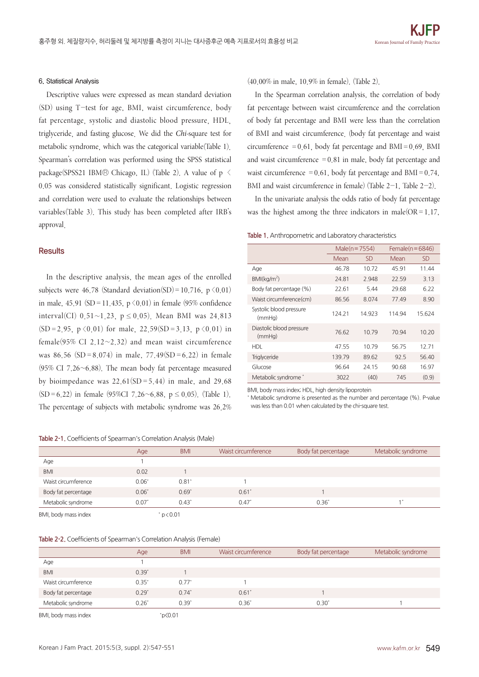#### 6. Statistical Analysis

Descriptive values were expressed as mean standard deviation (SD) using T-test for age, BMI, waist circumference, body fat percentage, systolic and diastolic blood pressure, HDL, triglyceride, and fasting glucose. We did the *Chi-*square test for metabolic syndrome, which was the categorical variable(Table 1). Spearman's correlation was performed using the SPSS statistical package(SPSS21 IBMⓇ Chicago, IL) (Table 2). A value of p < 0.05 was considered statistically significant. Logistic regression and correlation were used to evaluate the relationships between variables(Table 3). This study has been completed after IRB's approval.

## **Results**

In the descriptive analysis, the mean ages of the enrolled subjects were 46.78 (Standard deviation(SD)=10.716,  $p \le 0.01$ ) in male, 45.91 (SD = 11.435,  $p \le 0.01$ ) in female (95% confidence interval(CI) 0.51~1.23,  $p \le 0.05$ ). Mean BMI was 24.813  $(SD = 2.95, p \le 0.01)$  for male,  $22.59(SD = 3.13, p \le 0.01)$  in female(95% CI 2.12 $\sim$ 2.32) and mean waist circumference was 86.56 (SD = 8.074) in male, 77.49(SD = 6.22) in female (95% CI 7.26 $\sim$ 6.88). The mean body fat percentage measured by bioimpedance was  $22.61(SD = 5.44)$  in male, and 29.68 (SD=6.22) in female (95%CI 7.26~6.88,  $p \le 0.05$ ). (Table 1). The percentage of subjects with metabolic syndrome was 26.2%

**Table 2-1.** Coefficients of Spearman's Correlation Analysis (Male)

(40.00% in male, 10.9% in female). (Table 2).

In the Spearman correlation analysis, the correlation of body fat percentage between waist circumference and the correlation of body fat percentage and BMI were less than the correlation of BMI and waist circumference. (body fat percentage and waist circumference  $=0.61$ , body fat percentage and BMI $=0.69$ , BMI and waist circumference  $=0.81$  in male, body fat percentage and waist circumference  $=0.61$ , body fat percentage and BMI $=0.74$ , BMI and waist circumference in female) (Table 2-1, Table 2-2).

In the univariate analysis the odds ratio of body fat percentage was the highest among the three indicators in male( $OR = 1.17$ ,

#### **Table 1.** Anthropometric and Laboratory characteristics

|                                    | Male( $n = 7554$ ) |           | Female( $n = 6846$ ) |           |
|------------------------------------|--------------------|-----------|----------------------|-----------|
|                                    | Mean               | <b>SD</b> | Mean                 | <b>SD</b> |
| Age                                | 4678               | 10.72     | 4591                 | 11.44     |
| $BMl(kq/m^2)$                      | 24.81              | 2.948     | 22.59                | 3.13      |
| Body fat percentage (%)            | 22.61              | 5.44      | 29.68                | 6.22      |
| Waist circumference(cm)            | 86.56              | 8.074     | 77.49                | 8.90      |
| Systolic blood pressure<br>(mmHq)  | 124.21             | 14.923    | 114.94               | 15.624    |
| Diastolic blood pressure<br>(mmHq) | 76.62              | 10.79     | 70.94                | 10.20     |
| <b>HDL</b>                         | 47.55              | 10.79     | 56.75                | 12.71     |
| Triglyceride                       | 139.79             | 89.62     | 92.5                 | 56.40     |
| Glucose                            | 96.64              | 24.15     | 90.68                | 16.97     |
| Metabolic syndrome *               | 3022               | (40)      | 745                  | (0.9)     |

BMI, body mass index; HDL, high density lipoprotein

\* Metabolic syndrome is presented as the number and percentage (%). P-value was less than 0.01 when calculated by the chi-square test.

|                      | Age     | <b>BMI</b> | Waist circumference | Body fat percentage | Metabolic syndrome |
|----------------------|---------|------------|---------------------|---------------------|--------------------|
| Age                  |         |            |                     |                     |                    |
| <b>BMI</b>           | 0.02    |            |                     |                     |                    |
| Waist circumference  | $0.06*$ | $0.81^*$   |                     |                     |                    |
| Body fat percentage  | $0.06*$ | $0.69*$    | 0.61'               |                     |                    |
| Metabolic syndrome   | 0.07'   | $0.43*$    | $0.47*$             | $0.36*$             |                    |
| BMI, body mass index |         | p < 0.01   |                     |                     |                    |

#### **Table 2-2.** Coefficients of Spearman's Correlation Analysis (Female)

|                      | Age     | <b>BMI</b> | Waist circumference | Body fat percentage | Metabolic syndrome |
|----------------------|---------|------------|---------------------|---------------------|--------------------|
| Age                  |         |            |                     |                     |                    |
| <b>BMI</b>           | $0.39*$ |            |                     |                     |                    |
| Waist circumference  | $0.35*$ | $0.77^*$   |                     |                     |                    |
| Body fat percentage  | $0.29*$ | $0.74*$    | 0.61'               |                     |                    |
| Metabolic syndrome   | $0.26*$ | $0.39^{*}$ | $0.36*$             | $0.30^{*}$          |                    |
| BMI, body mass index |         | p(0.01)    |                     |                     |                    |

Korean J Fam Pract. 2015;5(3, suppl. 2):547-551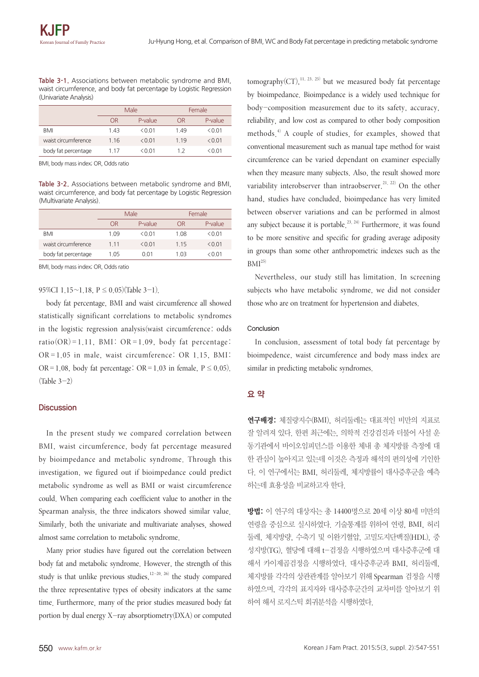**Table 3-1.** Associations between metabolic syndrome and BMI, waist circumference, and body fat percentage by Logistic Regression (Univariate Analysis)

|                     | Male  |           | Female |         |
|---------------------|-------|-----------|--------|---------|
|                     | OR    | P-value   | OR     | P-value |
| BMI                 | 143   | $<$ 0 0 1 | 149    | &0.01   |
| waist circumference | 1 1 6 | &0.01     | 1 1 9  | &0.01   |
| body fat percentage | 1 17  | $<$ 0 0 1 | 12     | <001    |

BMI, body mass index; OR, Odds ratio

**Table 3-2.** Associations between metabolic syndrome and BMI, waist circumference, and body fat percentage by Logistic Regression (Multivariate Analysis).

|                     | Male  |           | Female |         |
|---------------------|-------|-----------|--------|---------|
|                     | ΟR    | P-value   | ΩR     | P-value |
| BMI                 | 109   | $<$ 0 0 1 | 108    | <0.01   |
| waist circumference | 1 1 1 | < 0.01    | 1 1 5  | < 0.01  |
| body fat percentage | 1.05  | 0.01      | 1 03   | <0 01   |

BMI, body mass index; OR, Odds ratio

95%CI 1.15~1.18, P≤0.05)(Table 3-1).

body fat percentage, BMI and waist circumference all showed statistically significant correlations to metabolic syndromes in the logistic regression analysis(waist circumference: odds ratio(OR)=1.11, BMI: OR=1.09, body fat percentage: OR =1.05 in male, waist circumference: OR 1.15, BMI: OR=1.08, body fat percentage: OR=1.03 in female,  $P \le 0.05$ ).  $(Table 3-2)$ 

#### **Discussion**

In the present study we compared correlation between BMI, waist circumference, body fat percentage measured by bioimpedance and metabolic syndrome. Through this investigation, we figured out if bioimpedance could predict metabolic syndrome as well as BMI or waist circumference could. When comparing each coefficient value to another in the Spearman analysis, the three indicators showed similar value. Similarly, both the univariate and multivariate analyses, showed almost same correlation to metabolic syndrome.

Many prior studies have figured out the correlation between body fat and metabolic syndrome. However, the strength of this study is that unlike previous studies,  $12-20$ ,  $26$ ) the study compared the three representative types of obesity indicators at the same time. Furthermore, many of the prior studies measured body fat portion by dual energy X-ray absorptiometry(DXA) or computed

tomography(CT), $^{11, 23, 25)}$  but we measured body fat percentage by bioimpedance. Bioimpedance is a widely used technique for body-composition measurement due to its safety, accuracy, reliability, and low cost as compared to other body composition methods. <sup>4</sup>) A couple of studies, for examples, showed that conventional measurement such as manual tape method for waist circumference can be varied dependant on examiner especially when they measure many subjects. Also, the result showed more variability interobserver than intraobserver.<sup>21, 22)</sup> On the other hand, studies have concluded, bioimpedance has very limited between observer variations and can be performed in almost any subject because it is portable.<sup>23, 24)</sup> Furthermore, it was found to be more sensitive and specific for grading average adiposity in groups than some other anthropometric indexes such as the  $BMI<sup>25)</sup>$ 

Nevertheless, our study still has limitation. In screening subjects who have metabolic syndrome, we did not consider those who are on treatment for hypertension and diabetes.

#### Conclusion

In conclusion, assessment of total body fat percentage by bioimpedence, waist circumference and body mass index are similar in predicting metabolic syndromes.

## 요 약

연구배경: 체질량지수(BMI), 허리둘레는 대표적인 비만의 지표로 잘 알려져 있다. 한편 최근에는, 의학적 건강검진과 더불어 사설 운 동기관에서 바이오임피던스를 이용한 체내 총 체지방률 측정에 대 한 관심이 높아지고 있는데 이것은 측정과 해석의 편의성에 기인한 다. 이 연구에서는 BMI, 허리둘레, 체지방률이 대사증후군을 예측 하는데 효용성을 비교하고자 한다.

방법: 이 연구의 대상자는 총 14400명으로 20세 이상 80세 미만의 연령을 중심으로 실시하였다. 기술통계를 위하여 연령, BMI, 허리 둘레, 체지방량, 수축기 및 이완기혈압, 고밀도지단백질(HDL), 중 성지방(TG), 혈당에 대해 t-검정을 시행하였으며 대사증후군에 대 해서 카이제곱검정을 시행하였다. 대사증후군과 BMI, 허리둘레, 체지방률 각각의 상관관계를 알아보기 위해 Spearman 검정을 시행 하였으며, 각각의 표지자와 대사증후군간의 교차비를 알아보기 위 하여 해서 로지스틱 회귀분석을 시행하였다.